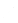Copyright and Ministry of Law, Justice and Parliamentary Affairs, Bangladesh.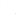|                     | Jostini @                                  |  |  | তফসিল                   |                           |                     |
|---------------------|--------------------------------------------|--|--|-------------------------|---------------------------|---------------------|
|                     |                                            |  |  | (ধারা ২ ও ৩ দেখুন)      |                           |                     |
| ډ                   |                                            |  |  | ৩                       |                           | 8                   |
| মঞ্জুরী             | কার্য ও উদ্দেশ্যসমূহ (হিসাবের প্রধান খাত)। |  |  | অনধিক টাকা              |                           | মেট।                |
| R <sub>l</sub>      |                                            |  |  | সংসদ কৰ্তৃক ভোটে গৃহীত। | সংযুক্ত তহবিলের উপর দায়। |                     |
|                     | অনুন্নয়ন ব্যয়-<br>রাজস্ব ব্যয় :         |  |  |                         |                           |                     |
| ډ                   | ১০১-সরকারের অংগসমূহ                        |  |  | 5,85,06,000             | १,०৮,०২,०००               | b, 8b, 50, 000      |
| ২                   | ১০২-বিচার ব্যবস্থা                         |  |  | 8,00,00,000             | ৮১,২৬,০০০                 | 0, 0, 0, 0, 0, 0, 0 |
|                     | ১০৩-হিসাব নিরীক্ষা                         |  |  |                         | 0,96,88,000               | 0,90,88,000         |
| $\mathsf{O}$        | ১০৫-জাতীয় রাজস্ব বোর্ড                    |  |  | ১,২০,৭১,০০০             |                           | 5,80,95,000         |
| 8                   | ১০৬-আমদানী-রপ্তানী শুল্ক                   |  |  | 9,86,00,000             |                           | ৬, $8b,00,000$      |
| $\pmb{\mathcal{C}}$ | ১০৭-আবগারী শুল্ক                           |  |  | 86,86,000               |                           | 80,86,000           |
| ৬                   | ১০৮-আয় কর ও বিক্রয় কর                    |  |  | २,२४,৯४,०००             |                           | २,२৮,৯৪,०००         |
| ٩                   | ১০৯-ভূমি রাজস্ব                            |  |  | ১০,২০,৯১,০০০            |                           | ১০,২০,৯১,০০০        |
| b                   | ১১০-ষ্ট্যাম্প                              |  |  | (89,52,000)             |                           | ৫৭,১২,০০০           |
| ৯                   | ১১১-রেজিষ্ট্রীকরণ                          |  |  | 5,68,60,000             |                           | 5,08,0000           |
| $\mathsf{c}$        | ১১২-মোটর যানবাহন কর                        |  |  | 9,08,000                | Trail S                   | 9,08,000            |
| $\mathcal{L}$       | ১১৩-অন্যান্য কর ও শুল্ক                    |  |  | ২,৩৮,০০০                |                           | ২,৩৮,০০০            |
| ১২                  | ১১৪-মুদ্রা                                 |  |  | ১,৩৩,৩৩,০০০             |                           | ১,৩৩,৩৩,০০০         |
|                     |                                            |  |  |                         | <b>HARCIC</b> ST          |                     |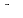| S                 | ২                                          | ৩                                     |                           | 8                 |
|-------------------|--------------------------------------------|---------------------------------------|---------------------------|-------------------|
| মঞ্জুরী<br>न९ $ $ | কার্য ও উদ্দেশ্যসমূহ (হিসাবের প্রধান খাত)। | অনধিক টাকা<br>সংসদ কৰ্তৃক ভোটে গৃহীত। | সংযুক্ত তহবিলের উপর দায়। | মেট।              |
| ১৩                | ১১৫-টাকশাল                                 | ৩৩,৩৩,০০০                             |                           | ৩৩,৩৩,০০০         |
| 58                | ১১৮-সচিবালয়                               | 9,80,88,000                           |                           | 9,80,88,000       |
| ১৫                | ১১৯-বৈদেশিক বিষয়াবলী                      |                                       | $\ddot{\phantom{a}}$      |                   |
|                   |                                            | ১০,৮৫,৫৬,০০০                          | ৬৬,৬৭,০০০                 | ১১,৫২,২৩,০০০      |
| ১৬                | ১২১-বিভাগ, জেলা ও উপজেলা প্রশাসন           | 33,80,83,000                          | $\ddot{\phantom{0}}$      | 33,80,83,000      |
| 9 <sup>2</sup>    | ১২২-কারাগার                                | b,00,00,000                           |                           | b,00,00,000       |
| b                 | ১২৩-পুলিশ                                  | 89,80,50,000                          | $\ddot{\phantom{a}}$      | 89,80,50,000      |
| ১৯                | ১২৪-বাংলাদেশ রাইফেলস্                      | ২০,৩৮,০৫,০০০                          |                           | ২০,৩৮,০৫,০০০      |
| ২০                | ১২৫-বাংলাদেশ আনসার                         | ৮,১২,১৯,০০০                           | $\ddot{\phantom{0}}$      | ৮,১২,১৯,০০০       |
| ২১                | ১২৬-দুৰ্নীতি দমন বিভাগ                     | ৬৬,০৭,০০০                             | $\ddot{\phantom{0}}$      | ৬৬,০৭,০০০         |
| ২২                | ১২৭-বেসামরিক প্রতিরক্ষা ও অগ্নি নির্বাপন   | ২,৬৬,৩৩,০০০                           | $\ddot{\phantom{0}}$      | ২,৬৬,৩৩,০০০       |
| ২৩                | ১২৮-পাসপোর্ট ও বহিরাগমন                    | ५७, ४५,०००                            |                           | ৬৫,৮৬,০০০         |
| ২8                | ১৩০-সরবরাহ ও পরিদর্শন                      | २৫, ১৮,०००                            |                           | २৫,১৮,০০০         |
| ২৫                | ১৩১-মনিহারী দ্রব্য ও মুদ্রণ                | 8, 29, 88,000                         | $\ddot{\phantom{0}}$      | 8,89,88,000       |
| ২৬                | ১৩২-বেসামরিক পূর্তকার্য-অনাবাসিক ভবন       | ২২,৩৩,৮৮,০০০                          |                           | ২২,৩৩,৮৮,০০০      |
| ২৭                | ১৩৩-কমন সাৰ্ভিস ও বিবিধ অফিসসমূহ           | $8,8$ 0, $26,000$                     |                           | $8,8$ 0, $26,000$ |
| ২৮                | ১৩৫-প্রতিরক্ষা                             | ১৬৮,২৩,৬৭,০০০                         |                           | ১৬৮,২৩,৬৭,০০০     |
| ২৯                | ১৩৭-শিক্ষা                                 | ১৬১,৬৯,৮৩,০০০                         |                           | ১৬১,৬৯,৮৩,০০০     |
| ৩০                | ১৩৮-স্বাস্থ্য ও জনসংখ্যা নিয়ন্ত্ৰণ        | (6, 80, 90, 000)                      | I Trains Bangladesh       | (6, 50, 90, 000)  |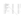| ৩১             | ১৪০-অবসর ভাতা ও অন্যান্য সুবিধাদি              | ২৬,০৫,৮৩,০০০        | $\ldots$         | ২৬,০৫,৮৩,০০০                        |
|----------------|------------------------------------------------|---------------------|------------------|-------------------------------------|
| ৩২             | ১৪১-জনস্বাস্থ্য, স্বাস্থ্য বিধান ও পানি সরবরাহ | ২,৮০,৬৪,০০০         |                  | ২,৮০,৬৪,০০০                         |
| ৩৩             | ১৪২-গৃহ সংস্থান ও নগর উন্নয়ন                  | 5, b b, b 9, 000    |                  | 5, b b, b 9, 000                    |
| $\mathcal{S}$  | ১৪৩-সাংস্কৃতিক বিষয়াবলী ও ক্রীড়া             | ২,৮৩,৬৪,০০০         |                  | ২,৮৩,৬৪,০০০                         |
| ৩৫             | ১৪৪-ধৰ্মীয় বিষয়াবলী                          | 5,50,98,000         | $\ddotsc$        | 5,60,68,000                         |
| ৩৬             | ১৪৫-সাহায্য                                    | ৩৫,৭৭,৬৩,০০০        | $\ddotsc$        | ৩৫,৭৭,৬৩,০০০                        |
| ৩৭             | ১৪৬-সমাজ সেবা ও কল্যাণ                         | $0, 22, b$ b,000    |                  | ৬,২২,৮৮,০০০                         |
| ৩৮             | ১৪৭-বিজ্ঞান বিষয়ক বিভাগসমূহ ও গবেষণা .        | 8,80,80,000         |                  | 8,80,80,000                         |
| ৩৯             | ১৪৮-সম্প্রচার, তথ্য ও প্রকাশনা                 | b, c, b, 8, 000     |                  | $b, c, b, 8, o$ ০০                  |
| 80             | ১৪৯-স্থানীয় অবকাঠামো                          | ৬,৫৮,৯৩,০০০         |                  | ৬,৫৮,৯৩,০০০                         |
|                |                                                |                     |                  |                                     |
| $8\lambda$     | ১৫০-ব্যবসা ও বাণিজ্য                           | <b>s</b> ,bb,৫১,000 |                  | $\lambda, b, \delta, \delta, 0$ 000 |
| 8२             | ১৫১-শ্ৰম ও জনশক্তি                             | হ,১৬,০২,০০০         |                  | ২,১৬,০২,০০০                         |
| 8 <sub>0</sub> | ১৫২-সমবায়                                     | २,७०,०१,०००         |                  | २,७०,०१,०००                         |
| 88             | ১৫৩-অন্যান্য সাধারণ অর্থনৈতিক কার্য্যাবলী      | ২,৭৮,৮২,০০০         |                  | २,१৮,৮२,०००                         |
| 8 <sub>0</sub> | ১৫৫-কৃষি                                       | ১৭,৯৫,৫৮,০০০        |                  | 29,80,000                           |
| 8 <sub>9</sub> | ১৫৬-মৎস্য                                      | $2,8$ ,80,000       |                  | $2,8$ ,80,000                       |
| 89             | ১৫৭-পশুপালন                                    | ७,८१,७२,०००         |                  | ७,८१,७२,०००                         |
| 8 <sub>b</sub> | ১৫৮-বন                                         | २,৫२,०८,०००         |                  | २,৫२,०८,०००                         |
| 8 <sub>o</sub> | ১৬০-শিল্প                                      | 0,08,00,000         |                  | 0,08,00,000                         |
|                |                                                |                     | <b>Banglaces</b> |                                     |
|                |                                                |                     |                  |                                     |

লির্দিষ্টকরণ (অহিাম মঞ্জুরী দান) আইন, ১৯৮৯

 $\frac{8}{3}$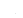|          | $\frac{C}{\sqrt{\frac{1}{100}}}}$ |                                                                     |           |
|----------|-----------------------------------|---------------------------------------------------------------------|-----------|
| <b>c</b> |                                   |                                                                     | ১৯,৯০,০০০ |
|          |                                   | House Ministr of Law Justice and Pattlementary Afraits, Bandladesh, |           |
|          |                                   |                                                                     |           |
|          |                                   |                                                                     |           |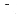| ډ             | ২                                                     | ৩                                                                           |                           | 8                                                                           |
|---------------|-------------------------------------------------------|-----------------------------------------------------------------------------|---------------------------|-----------------------------------------------------------------------------|
| মঞ্জুরী       | কার্য ও উদ্দেশ্যসমূহ (হিসাবের প্রধান খাত)।            | অনধিক টাকা                                                                  |                           | মেট।                                                                        |
| নং।           |                                                       | সংসদ কৰ্তৃক ভোটে গৃহীত।                                                     | সংযুক্ত তহবিলের উপর দায়। |                                                                             |
| <b>QS</b>     | ১৬৩-সেচ, নৌ-পরিবহণ, জল নিষ্কাশন ও বন্যা<br>নিয়ন্ত্ৰণ | 33,38,00,000                                                                |                           | 33,38,00,000                                                                |
| ৫২            | ১৬৪-এনার্জি                                           | 0,09,000                                                                    |                           | 0,09,000                                                                    |
| ৫৩            | ১৬৬-বন্দর, বাতিঘর ও জাহাজ চলাচল                       | 5,90,08,000                                                                 |                           | 5,90,08,000                                                                 |
| $\mathbf{68}$ | ১৬৮-সড়ক, সেতু ও খেয়াঘাট                             | $\mathcal{V}_0, \mathcal{V}_0, \mathcal{V}_1, \mathcal{V}_2, \mathcal{V}_3$ |                           | $\mathcal{V}_0, \mathcal{V}_0, \mathcal{V}_1, \mathcal{V}_2, \mathcal{V}_3$ |
| 66            | ১৬৯-রেলপথ                                             | (0,95,99,000)                                                               | 9,50,50,000               | ৫৭,৯২,৩২,০০০                                                                |
| ৫৬            | ১৭০-ডাক বিভাগ                                         | 22,9b,66,000                                                                | 5,82,00,000               | 28,20,66,000                                                                |
| ৫৭            | ১৭১-তার ও টেলিফোন বোর্ড                               | ৩৬,৪৩,০৩,০০০                                                                | 9,80,99,000               | 80, b0, b0, 000                                                             |
| $Q_{\sigma}$  | ১৭৪-ভৰ্তুকী                                           | 589,89,00,000                                                               |                           | 289,89,0000                                                                 |
| ৫৯            | ১৭৫-সাহায্য মঞ্জুরী, চাঁদা                            | ১৪,২০,৮২,০০০                                                                |                           | 28,20,62,000                                                                |
|               | ১৭৭-আভ্যন্তরীণ ঋণের উপর সুদ                           |                                                                             | 80,32,56,000              | 80,32,56,000                                                                |
|               | ১৭৮-বৈদেশিক ঋণের উপর সুদ                              |                                                                             | ৳8,৬৬,৬৭,০০০              | ৳8,৬৬,৬৭,০০০                                                                |
| ৬০            | ১৭৯-অপ্রত্যাশিত ব্যয়                                 | ১২৮,০১,৯৯,০০০                                                               |                           | ১২৮,০১,৯৯,০০০                                                               |
|               | মোট-রাজস্ব ব্যয়-অনুন্নয়ন                            | ১১২৩,৬২,৬৪,০০০                                                              | ১৫৭,৯৬,৮৩,০০০             | ১২৮১, ৫৯, ৪৭,000                                                            |
|               | মূলধন ব্যয়-অনুন্নয়ন।                                |                                                                             |                           |                                                                             |
| ৬১            | ১৮১-মুদ্ৰাখাতে মূলধন বিনিয়োগ                         | 09,00,00,000                                                                |                           | 09,00,00,000                                                                |
| ৬২            | ১৮৪-রাষ্ট্রীয় বাণিজ্যে মূলধন বিনিয়োগ (খাদ্য)        | 0,00,00,00,000                                                              |                           | ৩৮৫,৩১,১২,০০০                                                               |
| ৬৩            | ১৮৫-রাষ্ট্রীয় বাণিজ্যে মূলধন বিনিয়োগ (বিবিধ)        | ১০,২১,৯৩,০০০                                                                | IFS. Banglacy             | ১০,২১,৯৩,০০০                                                                |

858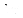| ৬ $8$ | ১৮৭-বিবিধ বিনিয়োগ (অনুন্নয়ন)    | ২৬,৩৬,২৫,০০০     |                      | ২৬,৩৬,২৫,০০০      |
|-------|-----------------------------------|------------------|----------------------|-------------------|
| ৬৫    | ১৮৮-অসাধারণ ব্যয়                 | ৬,৮৩,০০০         |                      | ৬,৮৩,০০০          |
|       | মোট-মূলধন ব্যয়-অনুন্নয়ন         | 862,84,10,000    |                      | 80,89,50,000      |
|       | সরকারী ঋণ ও অগ্রিম।               |                  |                      |                   |
|       | ১৯১-আভ্যন্তরীণ ঋণ পরিশোধ-স্থায়ী/ |                  | 8,00,000             | 0,00,000          |
|       | ১৯২-বৈদেশিক ঋণ পরিশোধ-স্থায়ী     |                  | $\$$ $\&$ ,00,00,000 | ১১৫,০০,০০,০০০     |
|       | ১৯৩-চলতি ঋণ                       |                  | 09b, 90, b9, 000     | 09b, 90, b9, 000  |
| ৬৬    | ১৯৪-ঋণ ও অগ্রিম (অনুন্নয়ন)       | ৩৬,৯০,৬৬,০০০     |                      | ৩৬,৯০,৬৬,০০০      |
|       | মোট-সরকারী ঋণ ও অগ্রিম            | ৩৬,৯০,৬৬,০০০     | 855, 98, 00, 000     | ৫৩৫,৬৫,০২,০০০     |
|       | মোট-অনুন্নয়ন ব্যয়               | ১৬১৯,৯৯,৪৩,০০০   | ৬৫৬,৭১,১৯,০০০        | ২২৭৬,৭০,৬২,০০০    |
|       | রাজস্ব খাতে ব্যয়                 |                  |                      |                   |
|       | উন্নয়ন ব্যয়                     |                  |                      |                   |
| ৬৭    | ২০১-উন্নয়ন (কৃষি)                | 82,20,00,000     |                      | 8२,२৮,००,०००      |
| ৬৮    | ২০২-উন্নয়ন (বন)                  | २,৫১,৫০,০০০      |                      | २,৫১,৫০,০০০       |
| ৬৯    | ২০৩-উন্নয়ন (মৎস্য)               | 8,39,62,000      |                      | 8,39,62,000       |
| ٩o    | ২০৪-উন্নয়ন (পশুপালন)             | 0,82,9b,000      |                      | 0,82,90,000       |
| 95    | ২০৫-উন্নয়ন (শিক্ষা)              | ২৩,৭১,২৬,০০০     |                      | ২৩,৭১,২৬,০০০      |
| ৭২    | ২০৬-উন্নয়ন (ক্রীড়া ও সংস্কৃতি)  | <b>69,90,000</b> |                      | <b>¢9,</b> ७०,००० |
| ৭৩    | ২০৭-উন্নয়ন (ধৰ্ম বিষয়ক)         | 5,80,00,000      |                      | ১,২৫,০০,০০০       |
|       | ২০৮-উন্নয়ন (বৈজ্ঞানিক গবেষণা)    | (0, 8, 000)      |                      | (0, 8, 000)       |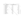| S              | ২                                          | ৩                                       |                           | 8                                       |
|----------------|--------------------------------------------|-----------------------------------------|---------------------------|-----------------------------------------|
| মঞ্জুরী        | কার্য ও উদ্দেশ্যসমূহ (হিসাবের প্রধান খাত)। | অনধিক টাকা                              |                           | মোট।                                    |
| নং।            |                                            | সংসদ কৰ্তৃক ভোটে গৃহীত।                 | সংযুক্ত তহবিলের উপর দায়। |                                         |
| ዓ৫             | ২০৯-উন্নয়ন (মহিলা বিষয়ক)                 | 5,90,02,000                             |                           | ১,৬০,০২,০০০                             |
| ৭৬             | ২১০-উন্নয়ন (চিকিৎসা)                      | b, 99, 000                              |                           | b, 99, 000                              |
| ۹۹             | ২১১-উন্নয়ন (সমাজকল্যাণ)                   | $\lambda, \delta b, \lambda 9,000$      |                           | $\lambda, \delta b, \lambda 9,000$      |
| 9 <sub>b</sub> | ২১২-উন্নয়ন (শ্ৰম ও প্ৰশিক্ষণ)             | 80, 99, 000                             | $\cdot \cdot$             | 80, 99,000                              |
| ৭৯             | ২১৩-উন্নয়ন (পল্লী উন্নয়ন)                | ৫০,৪০,৭২,০০০                            | $\ldots$                  | $(0.80, 9)$ ,000                        |
| $b$ o          | ২১৪-উন্নয়ন (যানবাহন)                      | 8,96,80,000                             |                           | 8,96,80,000                             |
| $b\lambda$     | ২১৫-উন্নয়ন (শিল্প)                        | $0.6$ \$,99,000                         |                           | 0.62,09,000                             |
| ৮২             | ২১৬-উন্নয়ন (টেক্সটাইল)                    | 5,00,00,000<br>$\overrightarrow{O}$     |                           | 2,00,00,000                             |
| ৮৩             | ২১৭-উন্নয়ন (সেচ)                          | <b>१२०,৯৪,००,०००</b>                    |                           | ১২৫,৯৪,০০,০০০                           |
| b8             | ২১৮-উন্নয়ন (জনসংখ্যা পরিকল্পনা)           | 89, 89, 00,000                          |                           | 89, 69, 00,000                          |
| ৮৫             | ২১৯-উন্নয়ন (বিবিধ)                        | ২৫,৪৭,৮৩,০০০                            |                           | २৫,८१,৮७,०००                            |
| ৮৬             | ২২০-উন্নয়ন (সংস্থাপন)                     | 9,00,000                                |                           | 9,00,000                                |
| $b^q$          | ২২৩-উন্নয়ন (তথ্য)                         | 28,80,000                               |                           | \$8,88,000                              |
| b b            | ২২৪-উন্নয়ন (বাণিজ্য)                      | 80,03,000                               |                           | 80,03,000                               |
| ৮৯             | ২২৫-উন্নয়ন (পরিকল্পনা)                    | २०,१७,8०,०००                            |                           | २०,१७,8०,०००                            |
| ৯০             | ২২৬-উন্নয়ন (পরিসংখ্যান)                   | $\lambda, \delta b, \gamma\psi, oo$     | Africation Bandless       | ১,৯৮,৭৬,০০০                             |
| ৯১             | ২২৭-উন্নয়ন (বহিঃসম্পদ বিভাগ)              | 20,000                                  |                           | 20,000                                  |
| ৯২             | ২২৮-উন্নয়ন (পূৰ্ত)                        | $\mathcal{V}, \mathcal{O}, \mathcal{O}$ |                           | $\mathcal{V}, \mathcal{O}, \mathcal{O}$ |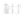| ৯৩              | ২২৯-উন্নয়ন (স্বরষ্ট বিষয়ক)                                | 8,29,000          |                      | 8,39,000         |
|-----------------|-------------------------------------------------------------|-------------------|----------------------|------------------|
| ৯৪              | ২৩০-উন্নয়ন (বিদ্যুৎ) $\bigcirc$                            | 85,99,99,000      |                      | 85,99,99,000     |
| ৯৫              | ২৩১-উন্নয়ন (প্রাকৃতিক সম্পূদ্                              | 80,00,000         |                      | 80,00,000        |
| ৯৬              | ২৩৩-উন্নয়ন (যুব উন্নয়ন)                                   | ১,৬০,৮২,০০০       | $\ddot{\phantom{0}}$ | 5,90,62,000      |
| ৯৭              | ২৩৪-উন্নয়ন (এনার্জি)                                       | २১,১৭,०००         | $\cdot \cdot$        | २১,১৭,०००        |
|                 | মোট-রাজস্ব খার্ক্তে ব্যয়                                   | 8১১,৩২,১২,০০০     | $\bullet$ .          | 8১১,৩২,১২,০০০    |
|                 | অন্যান্য ব্যয়।                                             |                   |                      |                  |
| ৯৮              | ২৪২-রাষ্ট্রীয় রেলপথ নির্মাণ                                | ২৬,৫০,০০,০০০      |                      | ২৬,৫০,০০,০০০     |
| ৯৯              | ২৪৩-পানি সরবরাহ এবং জনস্বাস্থ্য প্রকল্পের মূলধন<br>বিনিয়োগ | ১৭,৫৬,৬৭,০০০      |                      | 29,00,09,000     |
| ১০০             | ২৪৪-প্রাতিষ্ঠানিক খাতে মূলধন বিনিয়োগ                       | ১,৫০,৬৭,০০০       |                      | 2,00,09,000      |
| ১০১             | ২৪৫-পরিকল্পনা খাতে মূলধন বিনিয়োগ                           | २२,১१,०००         |                      | २२,১१,०००        |
| ১০২             | ২৪৬-মহিলা বিষয়ক খাতে মূলধন বিনিয়োগ                        | <b>b ७,२७,०००</b> |                      | ৮৬,২৬,০০০        |
| ১০৩             | ২৪৭-অন্যান্য প্রকল্পের মূলধন বিনিয়োগ                       | ৩৩,৩৩,০০০         |                      | ৩৩,৩৩,০০০        |
| 508             | ২৪৮-যুব উন্নয়ন খাতে মূলধন বিনিয়োগ                         | 5,82,98,000       |                      | 5,82,98,000      |
| ১০৫             | ২৫০-বন খাতে মূলধন বিনিয়োগ                                  | b, b, b, 39,000   |                      | b, b, b, 39,000  |
| ১০৬             | ২৫১-ডাক বিভাগে মূলধন বিনিয়োগ                               | 3,99,00,000       |                      | ১,৬৬,০০,০০০      |
| 509             | ২৫২-তার ও টেলিফোন বিভাগে মূলধন বিনিয়োগ                     | ১৯,৯২,৩৩,০০০      |                      | ১৯,৯২,৩৩,০০০     |
| 50 <sub>b</sub> | ২৫৩-শিক্ষা খাতে মূলধন বিনিয়োগ                              | $0, 00, 8$ b,000  |                      | $0, 00, 8$ b,000 |
| ১০৯             | ২৫৪-স্বাস্থ্য পরিচর্য্যা উন্নয়নে মূলধন বিনিয়োগ            | २१,०२,७१,०००      |                      | २१,०२,७१,०००     |
|                 |                                                             |                   | <b>Banglades</b>     |                  |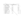| $\Delta$       | ২                                                                      | ৩                                     |                           | 8                       |
|----------------|------------------------------------------------------------------------|---------------------------------------|---------------------------|-------------------------|
| মঞ্জুরী<br>নং। | কার্য ও উদ্দেশ্যসমূহ (হিসাবের প্রধান খাত)।                             | অনধিক টাকা<br>সংসদ কৰ্তৃক ভোটে গৃহীত। | সংযুক্ত তহবিলের উপর দায়। | মোট।                    |
| 550            | ২৫৫-ক্রীড়া ও সংস্কৃতি খার্তে মূলধন বিনিয়োগ                           | 8,80,000                              |                           | 8,80,000                |
| 333            | ২৫৬-কৃষি উন্নয়ন ও গবেষণা প্রকল্পে মূলধন<br>বিনিয়োগ                   | 9,26,99,000                           |                           | 9,26,99,000             |
| 552            | ২৫৭-পশু চিকিৎসা উন্নয়ন প্রকল্পে মূলধন বিনিয়োগ                        | $b, b, b, \theta, 000$                |                           | $b, b, b, \theta, 000$  |
| 350            | ২৫৮-মৎস্য উন্নয়ন প্রকল্পের মূলধন বিনিয়োগ <sup>্য</sup>               | 9,00,00,000                           |                           | 9,00,00,000             |
| 558            | ২৫৯-পল্লী উন্নয়ন প্রকল্পে মূলধন বিনিয়োগ                              | ২২,৫৬,০০,০০০                          |                           | ২২,৫৬,০০,০০০            |
| ১১৫            | ২৬০-শিল্পোন্নয়নে মূলধন বিনিয়োগ                                       | $\lambda, c b, 00, 000$               |                           | $\lambda, c b, 00, 000$ |
| 359            | ২৬২-তথ্য ও বেতার খাতে মূলধন বিনিয়োগ                                   | २,८१,७७,०००                           |                           | २,४१,७७,०००             |
| 339            | ২৬৩-শ্ৰম ও প্ৰশিক্ষণ খাতে মূলধন বিনিয়োগ                               | ১,১১,০০,০০০                           |                           | 3,33,00,000             |
| 55b            | ২৬৪-সমাজকল্যাণ খাতে মূলধন বিনিয়োগ                                     | ২,৫৬,২৯,০০০                           |                           | ২,৫৬,২৯,০০০             |
| ১১৯            | ২৬৫-শহর উন্নয়ন প্রকল্পসমূহ                                            | २,०१,ऽ१,०००                           |                           | २,०१,১१,०००             |
| ১২০            | ২৬৬-রাজস্ব হিসাব বহির্ভুত বেসামরিক পূর্তকার্যের<br>মূলধন হিসাব-সড়ক    | 69,00,00,000                          |                           | (89,80,06,000)          |
| 323            | ২৬৭-রাজস্ব হিসাব বহির্ভুত বেসামরিক পূর্তকার্য্যের<br>মূলধন হিসাব-ইমারত | ৬,৭১,৩৩,০০০                           |                           | ৬,৭১,৩৩,০০০             |
| ১২২            | ২৬৮-রাজস্ব হিসাব বহির্ভুত অন্যান্য পূর্তকার্য্যের<br>মূলধন হিসাব       | ৮২,৩৩,০০০                             | Affairs, Banglacest       | b2,00,000               |
| ১২৩            | ২৬৯-রাষ্ট্রীয় বাণিজ্য প্রকল্পের মূলধন বিনিয়োগ                        | 9,80,60,000                           |                           | १,२०,৮७,०००             |

458

লিদিষ্টকরণ (অহিম মঞ্জুরী দান) আইন, ১৯৮৯